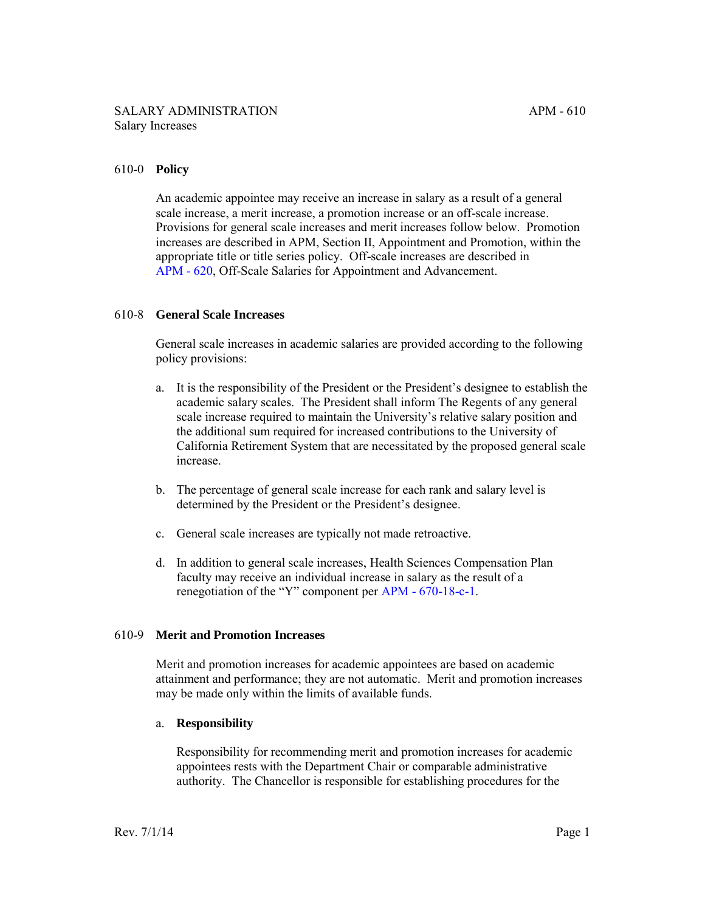## 610-0 **Policy**

An academic appointee may receive an increase in salary as a result of a general scale increase, a merit increase, a promotion increase or an off-scale increase. Provisions for general scale increases and merit increases follow below. Promotion increases are described in APM, Section II, Appointment and Promotion, within the appropriate title or title series policy. Off-scale increases are described in [APM - 620,](http://ucop.edu/academic-personnel-programs/_files/apm/apm-620.pdf) Off-Scale Salaries for Appointment and Advancement.

### 610-8 **General Scale Increases**

General scale increases in academic salaries are provided according to the following policy provisions:

- a. It is the responsibility of the President or the President's designee to establish the academic salary scales. The President shall inform The Regents of any general scale increase required to maintain the University's relative salary position and the additional sum required for increased contributions to the University of California Retirement System that are necessitated by the proposed general scale increase.
- b. The percentage of general scale increase for each rank and salary level is determined by the President or the President's designee.
- c. General scale increases are typically not made retroactive.
- d. In addition to general scale increases, Health Sciences Compensation Plan faculty may receive an individual increase in salary as the result of a renegotiation of the "Y" component per [APM - 670-18-c-1](http://ucop.edu/academic-personnel-programs/_files/apm/apm-670.pdf).

#### 610-9 **Merit and Promotion Increases**

Merit and promotion increases for academic appointees are based on academic attainment and performance; they are not automatic. Merit and promotion increases may be made only within the limits of available funds.

#### a. **Responsibility**

Responsibility for recommending merit and promotion increases for academic appointees rests with the Department Chair or comparable administrative authority. The Chancellor is responsible for establishing procedures for the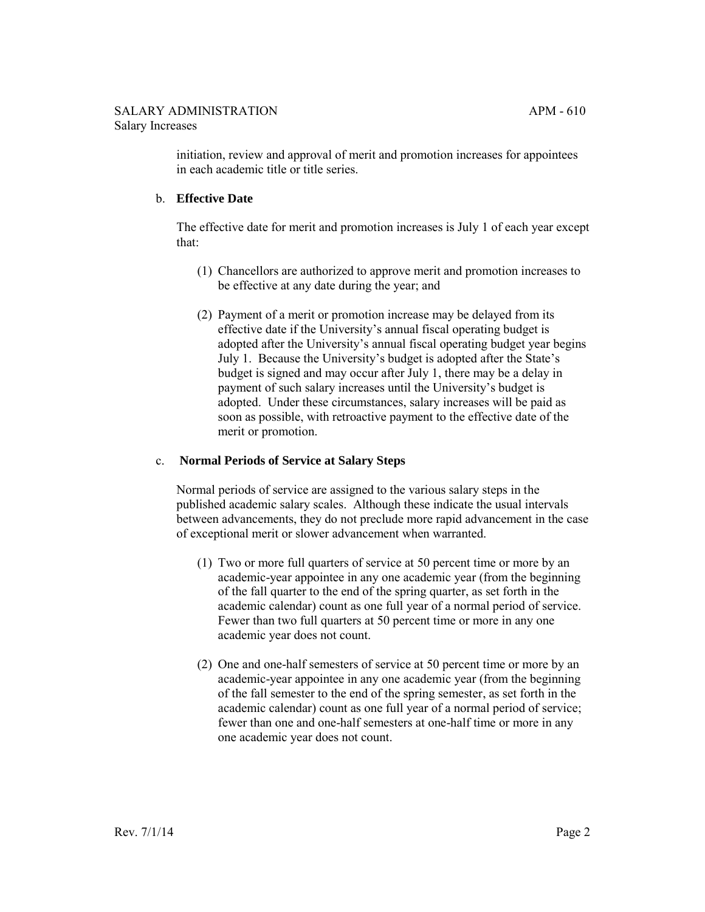initiation, review and approval of merit and promotion increases for appointees in each academic title or title series.

# b. **Effective Date**

The effective date for merit and promotion increases is July 1 of each year except that:

- (1) Chancellors are authorized to approve merit and promotion increases to be effective at any date during the year; and
- (2) Payment of a merit or promotion increase may be delayed from its effective date if the University's annual fiscal operating budget is adopted after the University's annual fiscal operating budget year begins July 1. Because the University's budget is adopted after the State's budget is signed and may occur after July 1, there may be a delay in payment of such salary increases until the University's budget is adopted. Under these circumstances, salary increases will be paid as soon as possible, with retroactive payment to the effective date of the merit or promotion.

# c. **Normal Periods of Service at Salary Steps**

Normal periods of service are assigned to the various salary steps in the published academic salary scales. Although these indicate the usual intervals between advancements, they do not preclude more rapid advancement in the case of exceptional merit or slower advancement when warranted.

- (1) Two or more full quarters of service at 50 percent time or more by an academic-year appointee in any one academic year (from the beginning of the fall quarter to the end of the spring quarter, as set forth in the academic calendar) count as one full year of a normal period of service. Fewer than two full quarters at 50 percent time or more in any one academic year does not count.
- (2) One and one-half semesters of service at 50 percent time or more by an academic-year appointee in any one academic year (from the beginning of the fall semester to the end of the spring semester, as set forth in the academic calendar) count as one full year of a normal period of service; fewer than one and one-half semesters at one-half time or more in any one academic year does not count.